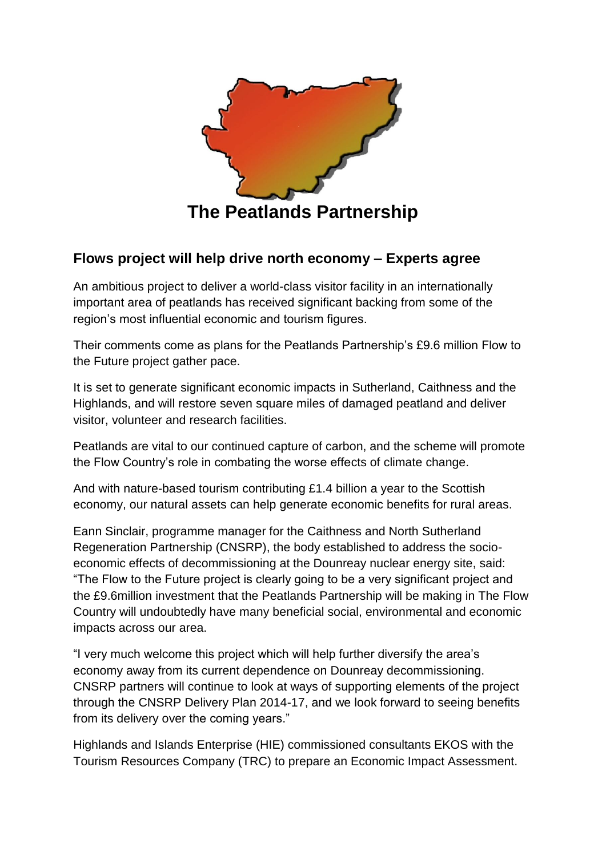

## **Flows project will help drive north economy – Experts agree**

An ambitious project to deliver a world-class visitor facility in an internationally important area of peatlands has received significant backing from some of the region's most influential economic and tourism figures.

Their comments come as plans for the Peatlands Partnership's £9.6 million Flow to the Future project gather pace.

It is set to generate significant economic impacts in Sutherland, Caithness and the Highlands, and will restore seven square miles of damaged peatland and deliver visitor, volunteer and research facilities.

Peatlands are vital to our continued capture of carbon, and the scheme will promote the Flow Country's role in combating the worse effects of climate change.

And with nature-based tourism contributing £1.4 billion a year to the Scottish economy, our natural assets can help generate economic benefits for rural areas.

Eann Sinclair, programme manager for the Caithness and North Sutherland Regeneration Partnership (CNSRP), the body established to address the socioeconomic effects of decommissioning at the Dounreay nuclear energy site, said: "The Flow to the Future project is clearly going to be a very significant project and the £9.6million investment that the Peatlands Partnership will be making in The Flow Country will undoubtedly have many beneficial social, environmental and economic impacts across our area.

"I very much welcome this project which will help further diversify the area's economy away from its current dependence on Dounreay decommissioning. CNSRP partners will continue to look at ways of supporting elements of the project through the CNSRP Delivery Plan 2014-17, and we look forward to seeing benefits from its delivery over the coming years."

Highlands and Islands Enterprise (HIE) commissioned consultants EKOS with the Tourism Resources Company (TRC) to prepare an Economic Impact Assessment.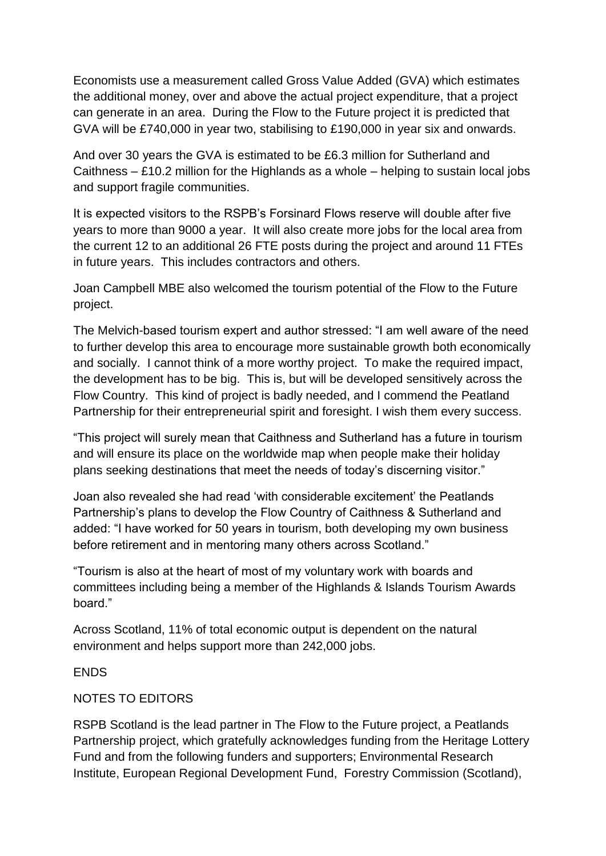Economists use a measurement called Gross Value Added (GVA) which estimates the additional money, over and above the actual project expenditure, that a project can generate in an area. During the Flow to the Future project it is predicted that GVA will be £740,000 in year two, stabilising to £190,000 in year six and onwards.

And over 30 years the GVA is estimated to be £6.3 million for Sutherland and Caithness – £10.2 million for the Highlands as a whole – helping to sustain local jobs and support fragile communities.

It is expected visitors to the RSPB's Forsinard Flows reserve will double after five years to more than 9000 a year. It will also create more jobs for the local area from the current 12 to an additional 26 FTE posts during the project and around 11 FTEs in future years. This includes contractors and others.

Joan Campbell MBE also welcomed the tourism potential of the Flow to the Future project.

The Melvich-based tourism expert and author stressed: "I am well aware of the need to further develop this area to encourage more sustainable growth both economically and socially. I cannot think of a more worthy project. To make the required impact, the development has to be big. This is, but will be developed sensitively across the Flow Country. This kind of project is badly needed, and I commend the Peatland Partnership for their entrepreneurial spirit and foresight. I wish them every success.

"This project will surely mean that Caithness and Sutherland has a future in tourism and will ensure its place on the worldwide map when people make their holiday plans seeking destinations that meet the needs of today's discerning visitor."

Joan also revealed she had read 'with considerable excitement' the Peatlands Partnership's plans to develop the Flow Country of Caithness & Sutherland and added: "I have worked for 50 years in tourism, both developing my own business before retirement and in mentoring many others across Scotland."

"Tourism is also at the heart of most of my voluntary work with boards and committees including being a member of the Highlands & Islands Tourism Awards board."

Across Scotland, 11% of total economic output is dependent on the natural environment and helps support more than 242,000 jobs.

## **FNDS**

## NOTES TO EDITORS

RSPB Scotland is the lead partner in The Flow to the Future project, a Peatlands Partnership project, which gratefully acknowledges funding from the Heritage Lottery Fund and from the following funders and supporters; Environmental Research Institute, European Regional Development Fund, Forestry Commission (Scotland),